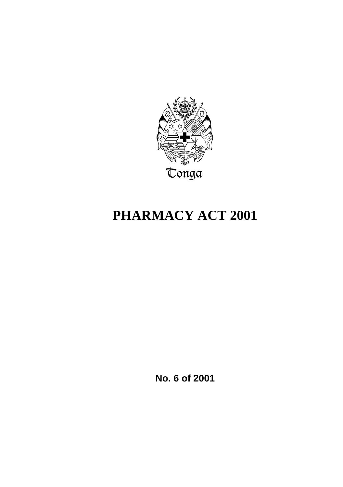

# **PHARMACY ACT 2001**

**No. 6 of 2001**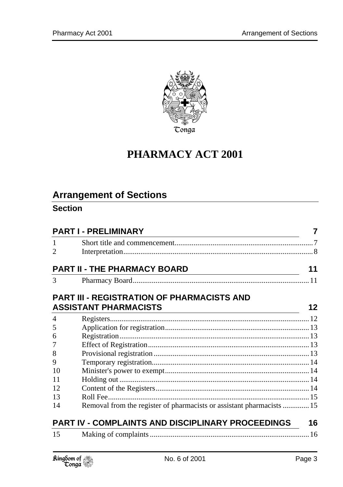

# **PHARMACY ACT 2001**

# **Arrangement of Sections**

### **Section**

| <b>PART I - PRELIMINARY</b> |                                                                                                                                                             |                 |
|-----------------------------|-------------------------------------------------------------------------------------------------------------------------------------------------------------|-----------------|
| $\mathbf{1}$                |                                                                                                                                                             |                 |
| $\overline{2}$              |                                                                                                                                                             |                 |
|                             | <b>PART II - THE PHARMACY BOARD</b><br><u> 1989 - Johann Barn, mars ann an t-Amhain Aonaich an t-Aonaich an t-Aonaich ann an t-Aonaich ann an t-Aonaich</u> | 11              |
| 3                           |                                                                                                                                                             |                 |
|                             | <b>PART III - REGISTRATION OF PHARMACISTS AND</b>                                                                                                           |                 |
|                             | <b>ASSISTANT PHARMACISTS</b><br><u> 1980 - Johann Barbara, martxa alemaniar amerikan a</u>                                                                  | 12 <sup>2</sup> |
| $\overline{4}$              |                                                                                                                                                             |                 |
| 5                           |                                                                                                                                                             |                 |
| 6                           |                                                                                                                                                             |                 |
| 7                           |                                                                                                                                                             |                 |
| 8                           |                                                                                                                                                             |                 |
| 9                           |                                                                                                                                                             |                 |
| 10                          |                                                                                                                                                             |                 |
| 11                          |                                                                                                                                                             |                 |
| 12                          |                                                                                                                                                             |                 |
| 13                          |                                                                                                                                                             |                 |
| 14                          | Removal from the register of pharmacists or assistant pharmacists  15                                                                                       |                 |
|                             | PART IV - COMPLAINTS AND DISCIPLINARY PROCEEDINGS                                                                                                           | 16              |
| 15                          |                                                                                                                                                             |                 |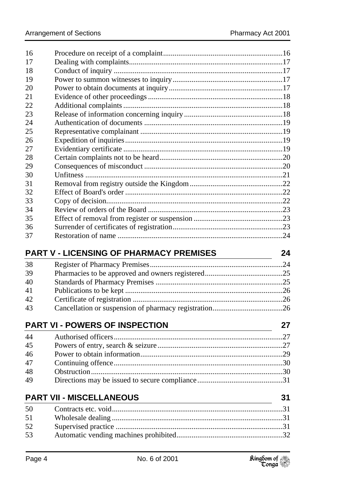| 17       |                                                |    |
|----------|------------------------------------------------|----|
| 18       |                                                |    |
| 19       |                                                |    |
| 20       |                                                |    |
| 21       |                                                |    |
| 22       |                                                |    |
| 23       |                                                |    |
| 24       |                                                |    |
| 25       |                                                |    |
| 26       |                                                |    |
| 27       |                                                |    |
| 28       |                                                |    |
| 29       |                                                |    |
| 30       |                                                |    |
| 31       |                                                |    |
| 32       |                                                |    |
| 33       |                                                |    |
| 34       |                                                |    |
| 35       |                                                |    |
| 36       |                                                |    |
| 37       |                                                |    |
|          | <b>PART V - LICENSING OF PHARMACY PREMISES</b> | 24 |
|          |                                                |    |
|          |                                                |    |
| 38       |                                                |    |
| 39       |                                                |    |
| 40       |                                                |    |
| 41       |                                                |    |
| 42       |                                                |    |
| 43       |                                                |    |
|          | <b>PART VI - POWERS OF INSPECTION</b>          | 27 |
| 44       |                                                |    |
| 45       |                                                |    |
|          |                                                |    |
| 46<br>47 |                                                |    |
| 48       |                                                |    |
| 49       |                                                |    |
|          |                                                |    |
|          | <b>PART VII - MISCELLANEOUS</b>                | 31 |
| 50       |                                                |    |
| 51       |                                                |    |
| 52       |                                                |    |
| 53       |                                                |    |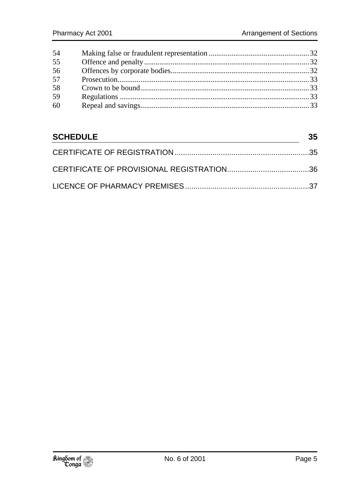| 54 |  |
|----|--|
| 55 |  |
| 56 |  |
| 57 |  |
| 58 |  |
| 59 |  |
| 60 |  |
|    |  |

| <b>SCHEDULE</b> |  |
|-----------------|--|
|                 |  |
|                 |  |
|                 |  |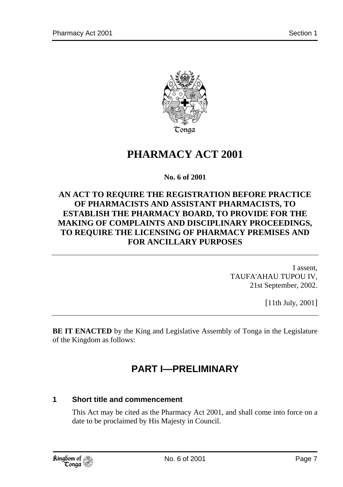

# **PHARMACY ACT 2001**

**No. 6 of 2001** 

#### **AN ACT TO REQUIRE THE REGISTRATION BEFORE PRACTICE OF PHARMACISTS AND ASSISTANT PHARMACISTS, TO ESTABLISH THE PHARMACY BOARD, TO PROVIDE FOR THE MAKING OF COMPLAINTS AND DISCIPLINARY PROCEEDINGS, TO REQUIRE THE LICENSING OF PHARMACY PREMISES AND FOR ANCILLARY PURPOSES**

I assent, TAUFA'AHAU TUPOU IV, 21st September, 2002.

[11th July, 2001]

**BE IT ENACTED** by the King and Legislative Assembly of Tonga in the Legislature of the Kingdom as follows:

# **PART I—PRELIMINARY**

#### **1 Short title and commencement**

This Act may be cited as the Pharmacy Act 2001, and shall come into force on a date to be proclaimed by His Majesty in Council.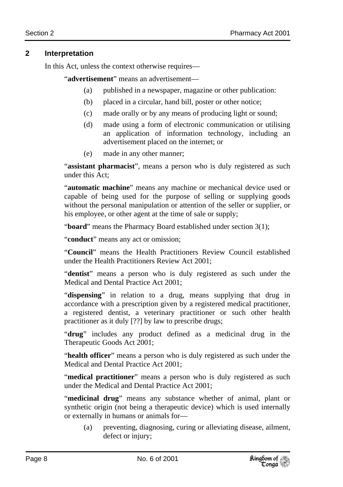#### **2 Interpretation**

In this Act, unless the context otherwise requires—

"**advertisement**" means an advertisement—

- (a) published in a newspaper, magazine or other publication:
- (b) placed in a circular, hand bill, poster or other notice;
- (c) made orally or by any means of producing light or sound;
- (d) made using a form of electronic communication or utilising an application of information technology, including an advertisement placed on the internet; or
- (e) made in any other manner;

"**assistant pharmacist**", means a person who is duly registered as such under this Act;

"**automatic machine**" means any machine or mechanical device used or capable of being used for the purpose of selling or supplying goods without the personal manipulation or attention of the seller or supplier, or his employee, or other agent at the time of sale or supply;

"**board**" means the Pharmacy Board established under section 3(1);

"**conduct**" means any act or omission;

"**Council**" means the Health Practitioners Review Council established under the Health Practitioners Review Act 2001;

"**dentist**" means a person who is duly registered as such under the Medical and Dental Practice Act 2001;

"**dispensing**" in relation to a drug, means supplying that drug in accordance with a prescription given by a registered medical practitioner, a registered dentist, a veterinary practitioner or such other health practitioner as it duly [??] by law to prescribe drugs;

"**drug**" includes any product defined as a medicinal drug in the Therapeutic Goods Act 2001;

"**health officer**" means a person who is duly registered as such under the Medical and Dental Practice Act 2001;

"**medical practitioner**" means a person who is duly registered as such under the Medical and Dental Practice Act 2001;

"**medicinal drug**" means any substance whether of animal, plant or synthetic origin (not being a therapeutic device) which is used internally or externally in humans or animals for—

(a) preventing, diagnosing, curing or alleviating disease, ailment, defect or injury;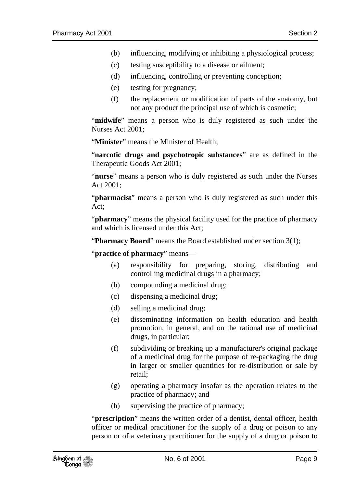- (b) influencing, modifying or inhibiting a physiological process;
- (c) testing susceptibility to a disease or ailment;
- (d) influencing, controlling or preventing conception;
- (e) testing for pregnancy;
- (f) the replacement or modification of parts of the anatomy, but not any product the principal use of which is cosmetic;

"midwife" means a person who is duly registered as such under the Nurses Act 2001;

"**Minister**" means the Minister of Health;

"**narcotic drugs and psychotropic substances**" are as defined in the Therapeutic Goods Act 2001;

"**nurse**" means a person who is duly registered as such under the Nurses Act 2001;

"**pharmacist**" means a person who is duly registered as such under this Act;

"**pharmacy**" means the physical facility used for the practice of pharmacy and which is licensed under this Act;

"**Pharmacy Board**" means the Board established under section 3(1);

"**practice of pharmacy**" means—

- (a) responsibility for preparing, storing, distributing and controlling medicinal drugs in a pharmacy;
- (b) compounding a medicinal drug;
- (c) dispensing a medicinal drug;
- (d) selling a medicinal drug;
- (e) disseminating information on health education and health promotion, in general, and on the rational use of medicinal drugs, in particular;
- (f) subdividing or breaking up a manufacturer's original package of a medicinal drug for the purpose of re-packaging the drug in larger or smaller quantities for re-distribution or sale by retail;
- (g) operating a pharmacy insofar as the operation relates to the practice of pharmacy; and
- (h) supervising the practice of pharmacy;

"**prescription**" means the written order of a dentist, dental officer, health officer or medical practitioner for the supply of a drug or poison to any person or of a veterinary practitioner for the supply of a drug or poison to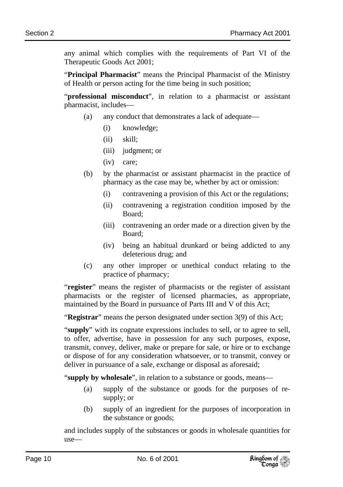any animal which complies with the requirements of Part VI of the Therapeutic Goods Act 2001;

"**Principal Pharmacist**" means the Principal Pharmacist of the Ministry of Health or person acting for the time being in such position;

"**professional misconduct**", in relation to a pharmacist or assistant pharmacist, includes—

- (a) any conduct that demonstrates a lack of adequate—
	- (i) knowledge;
	- (ii) skill;
	- (iii) judgment; or
	- (iv) care;
- (b) by the pharmacist or assistant pharmacist in the practice of pharmacy as the case may be, whether by act or omission:
	- (i) contravening a provision of this Act or the regulations;
	- (ii) contravening a registration condition imposed by the Board;
	- (iii) contravening an order made or a direction given by the Board;
	- (iv) being an habitual drunkard or being addicted to any deleterious drug; and
- (c) any other improper or unethical conduct relating to the practice of pharmacy;

"**register**" means the register of pharmacists or the register of assistant pharmacists or the register of licensed pharmacies, as appropriate, maintained by the Board in pursuance of Parts III and V of this Act;

"**Registrar**" means the person designated under section 3(9) of this Act;

"**supply**" with its cognate expressions includes to sell, or to agree to sell, to offer, advertise, have in possession for any such purposes, expose, transmit, convey, deliver, make or prepare for sale, or hire or to exchange or dispose of for any consideration whatsoever, or to transmit, convey or deliver in pursuance of a sale, exchange or disposal as aforesaid;

"**supply by wholesale**", in relation to a substance or goods, means—

- (a) supply of the substance or goods for the purposes of resupply; or
- (b) supply of an ingredient for the purposes of incorporation in the substance or goods;

and includes supply of the substances or goods in wholesale quantities for use—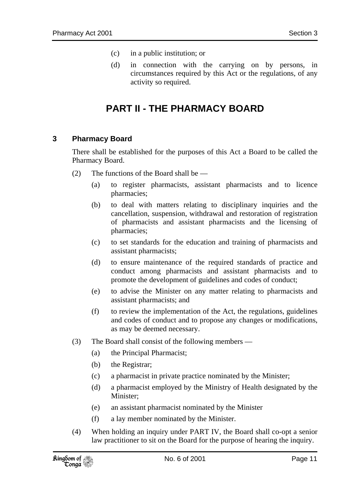- (c) in a public institution; or
- (d) in connection with the carrying on by persons, in circumstances required by this Act or the regulations, of any activity so required.

# **PART II - THE PHARMACY BOARD**

#### **3 Pharmacy Board**

There shall be established for the purposes of this Act a Board to be called the Pharmacy Board.

- (2) The functions of the Board shall be
	- (a) to register pharmacists, assistant pharmacists and to licence pharmacies;
	- (b) to deal with matters relating to disciplinary inquiries and the cancellation, suspension, withdrawal and restoration of registration of pharmacists and assistant pharmacists and the licensing of pharmacies;
	- (c) to set standards for the education and training of pharmacists and assistant pharmacists;
	- (d) to ensure maintenance of the required standards of practice and conduct among pharmacists and assistant pharmacists and to promote the development of guidelines and codes of conduct;
	- (e) to advise the Minister on any matter relating to pharmacists and assistant pharmacists; and
	- (f) to review the implementation of the Act, the regulations, guidelines and codes of conduct and to propose any changes or modifications, as may be deemed necessary.
- (3) The Board shall consist of the following members
	- (a) the Principal Pharmacist;
	- (b) the Registrar;
	- (c) a pharmacist in private practice nominated by the Minister;
	- (d) a pharmacist employed by the Ministry of Health designated by the Minister;
	- (e) an assistant pharmacist nominated by the Minister
	- (f) a lay member nominated by the Minister.
- (4) When holding an inquiry under PART IV, the Board shall co-opt a senior law practitioner to sit on the Board for the purpose of hearing the inquiry.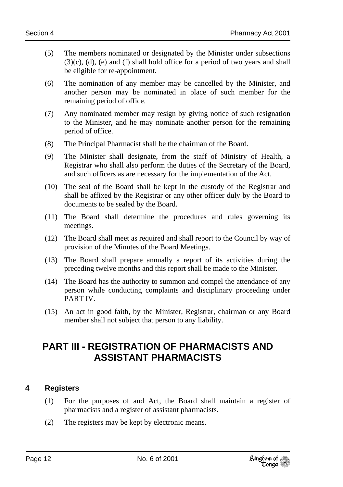- (5) The members nominated or designated by the Minister under subsections  $(3)(c)$ ,  $(d)$ ,  $(e)$  and  $(f)$  shall hold office for a period of two years and shall be eligible for re-appointment.
- (6) The nomination of any member may be cancelled by the Minister, and another person may be nominated in place of such member for the remaining period of office.
- (7) Any nominated member may resign by giving notice of such resignation to the Minister, and he may nominate another person for the remaining period of office.
- (8) The Principal Pharmacist shall be the chairman of the Board.
- (9) The Minister shall designate, from the staff of Ministry of Health, a Registrar who shall also perform the duties of the Secretary of the Board, and such officers as are necessary for the implementation of the Act.
- (10) The seal of the Board shall be kept in the custody of the Registrar and shall be affixed by the Registrar or any other officer duly by the Board to documents to be sealed by the Board.
- (11) The Board shall determine the procedures and rules governing its meetings.
- (12) The Board shall meet as required and shall report to the Council by way of provision of the Minutes of the Board Meetings.
- (13) The Board shall prepare annually a report of its activities during the preceding twelve months and this report shall be made to the Minister.
- (14) The Board has the authority to summon and compel the attendance of any person while conducting complaints and disciplinary proceeding under PART IV.
- (15) An act in good faith, by the Minister, Registrar, chairman or any Board member shall not subject that person to any liability.

### **PART III - REGISTRATION OF PHARMACISTS AND ASSISTANT PHARMACISTS**

#### **4 Registers**

- (1) For the purposes of and Act, the Board shall maintain a register of pharmacists and a register of assistant pharmacists.
- (2) The registers may be kept by electronic means.

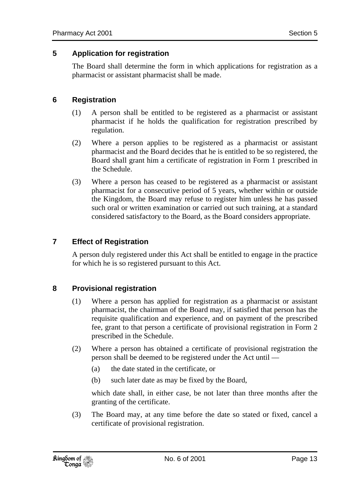#### **5 Application for registration**

The Board shall determine the form in which applications for registration as a pharmacist or assistant pharmacist shall be made.

#### **6 Registration**

- (1) A person shall be entitled to be registered as a pharmacist or assistant pharmacist if he holds the qualification for registration prescribed by regulation.
- (2) Where a person applies to be registered as a pharmacist or assistant pharmacist and the Board decides that he is entitled to be so registered, the Board shall grant him a certificate of registration in Form 1 prescribed in the Schedule.
- (3) Where a person has ceased to be registered as a pharmacist or assistant pharmacist for a consecutive period of 5 years, whether within or outside the Kingdom, the Board may refuse to register him unless he has passed such oral or written examination or carried out such training, at a standard considered satisfactory to the Board, as the Board considers appropriate.

#### **7 Effect of Registration**

A person duly registered under this Act shall be entitled to engage in the practice for which he is so registered pursuant to this Act.

#### **8 Provisional registration**

- (1) Where a person has applied for registration as a pharmacist or assistant pharmacist, the chairman of the Board may, if satisfied that person has the requisite qualification and experience, and on payment of the prescribed fee, grant to that person a certificate of provisional registration in Form 2 prescribed in the Schedule.
- (2) Where a person has obtained a certificate of provisional registration the person shall be deemed to be registered under the Act until —
	- (a) the date stated in the certificate, or
	- (b) such later date as may be fixed by the Board,

which date shall, in either case, be not later than three months after the granting of the certificate.

(3) The Board may, at any time before the date so stated or fixed, cancel a certificate of provisional registration.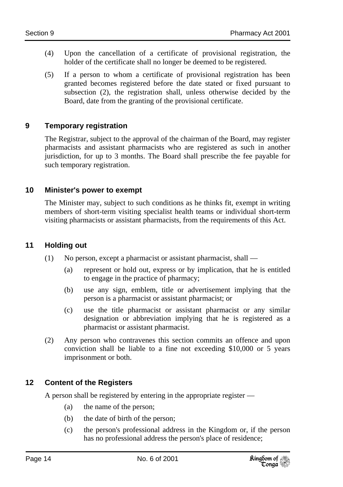- (4) Upon the cancellation of a certificate of provisional registration, the holder of the certificate shall no longer be deemed to be registered.
- (5) If a person to whom a certificate of provisional registration has been granted becomes registered before the date stated or fixed pursuant to subsection (2), the registration shall, unless otherwise decided by the Board, date from the granting of the provisional certificate.

#### **9 Temporary registration**

The Registrar, subject to the approval of the chairman of the Board, may register pharmacists and assistant pharmacists who are registered as such in another jurisdiction, for up to 3 months. The Board shall prescribe the fee payable for such temporary registration.

#### **10 Minister's power to exempt**

The Minister may, subject to such conditions as he thinks fit, exempt in writing members of short-term visiting specialist health teams or individual short-term visiting pharmacists or assistant pharmacists, from the requirements of this Act.

#### **11 Holding out**

- (1) No person, except a pharmacist or assistant pharmacist, shall
	- (a) represent or hold out, express or by implication, that he is entitled to engage in the practice of pharmacy;
	- (b) use any sign, emblem, title or advertisement implying that the person is a pharmacist or assistant pharmacist; or
	- (c) use the title pharmacist or assistant pharmacist or any similar designation or abbreviation implying that he is registered as a pharmacist or assistant pharmacist.
- (2) Any person who contravenes this section commits an offence and upon conviction shall be liable to a fine not exceeding \$10,000 or 5 years imprisonment or both.

#### **12 Content of the Registers**

A person shall be registered by entering in the appropriate register —

- (a) the name of the person;
- (b) the date of birth of the person;
- (c) the person's professional address in the Kingdom or, if the person has no professional address the person's place of residence;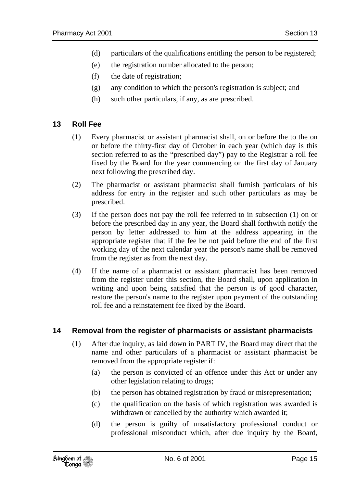- (d) particulars of the qualifications entitling the person to be registered;
- (e) the registration number allocated to the person;
- (f) the date of registration;
- (g) any condition to which the person's registration is subject; and
- (h) such other particulars, if any, as are prescribed.

#### **13 Roll Fee**

- (1) Every pharmacist or assistant pharmacist shall, on or before the to the on or before the thirty-first day of October in each year (which day is this section referred to as the "prescribed day") pay to the Registrar a roll fee fixed by the Board for the year commencing on the first day of January next following the prescribed day.
- (2) The pharmacist or assistant pharmacist shall furnish particulars of his address for entry in the register and such other particulars as may be prescribed.
- (3) If the person does not pay the roll fee referred to in subsection (1) on or before the prescribed day in any year, the Board shall forthwith notify the person by letter addressed to him at the address appearing in the appropriate register that if the fee be not paid before the end of the first working day of the next calendar year the person's name shall be removed from the register as from the next day.
- (4) If the name of a pharmacist or assistant pharmacist has been removed from the register under this section, the Board shall, upon application in writing and upon being satisfied that the person is of good character, restore the person's name to the register upon payment of the outstanding roll fee and a reinstatement fee fixed by the Board.

#### **14 Removal from the register of pharmacists or assistant pharmacists**

- (1) After due inquiry, as laid down in PART IV, the Board may direct that the name and other particulars of a pharmacist or assistant pharmacist be removed from the appropriate register if:
	- (a) the person is convicted of an offence under this Act or under any other legislation relating to drugs;
	- (b) the person has obtained registration by fraud or misrepresentation;
	- (c) the qualification on the basis of which registration was awarded is withdrawn or cancelled by the authority which awarded it;
	- (d) the person is guilty of unsatisfactory professional conduct or professional misconduct which, after due inquiry by the Board,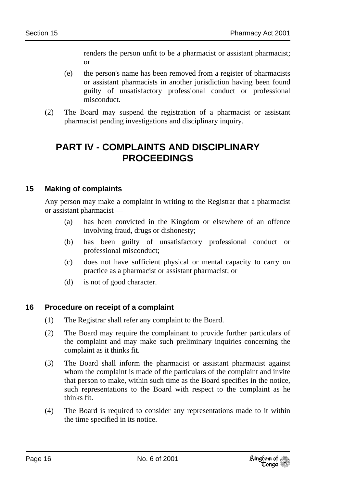renders the person unfit to be a pharmacist or assistant pharmacist; or

- (e) the person's name has been removed from a register of pharmacists or assistant pharmacists in another jurisdiction having been found guilty of unsatisfactory professional conduct or professional misconduct.
- (2) The Board may suspend the registration of a pharmacist or assistant pharmacist pending investigations and disciplinary inquiry.

### **PART IV - COMPLAINTS AND DISCIPLINARY PROCEEDINGS**

#### **15 Making of complaints**

Any person may make a complaint in writing to the Registrar that a pharmacist or assistant pharmacist —

- (a) has been convicted in the Kingdom or elsewhere of an offence involving fraud, drugs or dishonesty;
- (b) has been guilty of unsatisfactory professional conduct or professional misconduct;
- (c) does not have sufficient physical or mental capacity to carry on practice as a pharmacist or assistant pharmacist; or
- (d) is not of good character.

#### **16 Procedure on receipt of a complaint**

- (1) The Registrar shall refer any complaint to the Board.
- (2) The Board may require the complainant to provide further particulars of the complaint and may make such preliminary inquiries concerning the complaint as it thinks fit.
- (3) The Board shall inform the pharmacist or assistant pharmacist against whom the complaint is made of the particulars of the complaint and invite that person to make, within such time as the Board specifies in the notice, such representations to the Board with respect to the complaint as he thinks fit.
- (4) The Board is required to consider any representations made to it within the time specified in its notice.

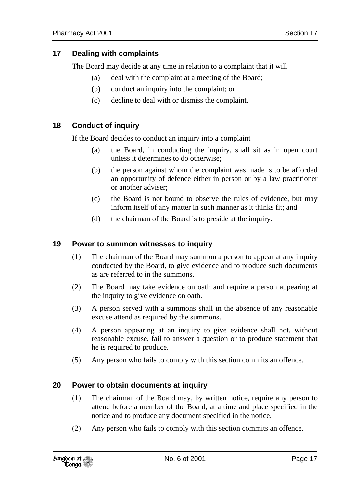The Board may decide at any time in relation to a complaint that it will —

- (a) deal with the complaint at a meeting of the Board;
- (b) conduct an inquiry into the complaint; or
- (c) decline to deal with or dismiss the complaint.

#### **18 Conduct of inquiry**

If the Board decides to conduct an inquiry into a complaint —

- (a) the Board, in conducting the inquiry, shall sit as in open court unless it determines to do otherwise;
- (b) the person against whom the complaint was made is to be afforded an opportunity of defence either in person or by a law practitioner or another adviser;
- (c) the Board is not bound to observe the rules of evidence, but may inform itself of any matter in such manner as it thinks fit; and
- (d) the chairman of the Board is to preside at the inquiry.

#### **19 Power to summon witnesses to inquiry**

- (1) The chairman of the Board may summon a person to appear at any inquiry conducted by the Board, to give evidence and to produce such documents as are referred to in the summons.
- (2) The Board may take evidence on oath and require a person appearing at the inquiry to give evidence on oath.
- (3) A person served with a summons shall in the absence of any reasonable excuse attend as required by the summons.
- (4) A person appearing at an inquiry to give evidence shall not, without reasonable excuse, fail to answer a question or to produce statement that he is required to produce.
- (5) Any person who fails to comply with this section commits an offence.

#### **20 Power to obtain documents at inquiry**

- (1) The chairman of the Board may, by written notice, require any person to attend before a member of the Board, at a time and place specified in the notice and to produce any document specified in the notice.
- (2) Any person who fails to comply with this section commits an offence.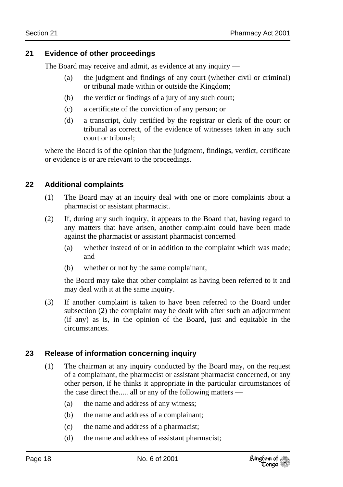#### **21 Evidence of other proceedings**

The Board may receive and admit, as evidence at any inquiry —

- (a) the judgment and findings of any court (whether civil or criminal) or tribunal made within or outside the Kingdom;
- (b) the verdict or findings of a jury of any such court;
- (c) a certificate of the conviction of any person; or
- (d) a transcript, duly certified by the registrar or clerk of the court or tribunal as correct, of the evidence of witnesses taken in any such court or tribunal;

where the Board is of the opinion that the judgment, findings, verdict, certificate or evidence is or are relevant to the proceedings.

#### **22 Additional complaints**

- (1) The Board may at an inquiry deal with one or more complaints about a pharmacist or assistant pharmacist.
- (2) If, during any such inquiry, it appears to the Board that, having regard to any matters that have arisen, another complaint could have been made against the pharmacist or assistant pharmacist concerned —
	- (a) whether instead of or in addition to the complaint which was made; and
	- (b) whether or not by the same complainant,

the Board may take that other complaint as having been referred to it and may deal with it at the same inquiry.

(3) If another complaint is taken to have been referred to the Board under subsection (2) the complaint may be dealt with after such an adjournment (if any) as is, in the opinion of the Board, just and equitable in the circumstances.

#### **23 Release of information concerning inquiry**

- (1) The chairman at any inquiry conducted by the Board may, on the request of a complainant, the pharmacist or assistant pharmacist concerned, or any other person, if he thinks it appropriate in the particular circumstances of the case direct the..... all or any of the following matters —
	- (a) the name and address of any witness;
	- (b) the name and address of a complainant;
	- (c) the name and address of a pharmacist;
	- (d) the name and address of assistant pharmacist;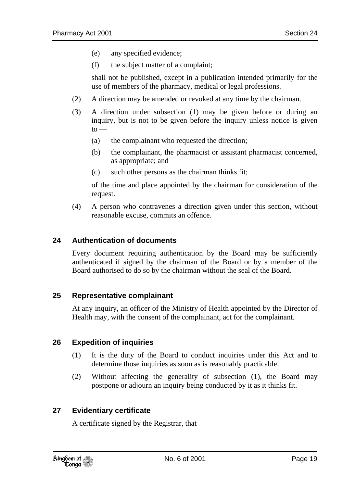- (e) any specified evidence;
- (f) the subject matter of a complaint;

shall not be published, except in a publication intended primarily for the use of members of the pharmacy, medical or legal professions.

- (2) A direction may be amended or revoked at any time by the chairman.
- (3) A direction under subsection (1) may be given before or during an inquiry, but is not to be given before the inquiry unless notice is given  $to -$ 
	- (a) the complainant who requested the direction;
	- (b) the complainant, the pharmacist or assistant pharmacist concerned, as appropriate; and
	- (c) such other persons as the chairman thinks fit;

of the time and place appointed by the chairman for consideration of the request.

(4) A person who contravenes a direction given under this section, without reasonable excuse, commits an offence.

#### **24 Authentication of documents**

Every document requiring authentication by the Board may be sufficiently authenticated if signed by the chairman of the Board or by a member of the Board authorised to do so by the chairman without the seal of the Board.

#### **25 Representative complainant**

At any inquiry, an officer of the Ministry of Health appointed by the Director of Health may, with the consent of the complainant, act for the complainant.

#### **26 Expedition of inquiries**

- (1) It is the duty of the Board to conduct inquiries under this Act and to determine those inquiries as soon as is reasonably practicable.
- (2) Without affecting the generality of subsection (1), the Board may postpone or adjourn an inquiry being conducted by it as it thinks fit.

#### **27 Evidentiary certificate**

A certificate signed by the Registrar, that —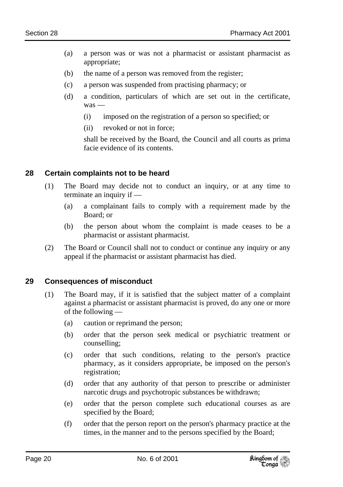- (a) a person was or was not a pharmacist or assistant pharmacist as appropriate;
- (b) the name of a person was removed from the register;
- (c) a person was suspended from practising pharmacy; or
- (d) a condition, particulars of which are set out in the certificate, was —
	- (i) imposed on the registration of a person so specified; or
	- (ii) revoked or not in force;

shall be received by the Board, the Council and all courts as prima facie evidence of its contents.

#### **28 Certain complaints not to be heard**

- (1) The Board may decide not to conduct an inquiry, or at any time to terminate an inquiry if —
	- (a) a complainant fails to comply with a requirement made by the Board; or
	- (b) the person about whom the complaint is made ceases to be a pharmacist or assistant pharmacist.
- (2) The Board or Council shall not to conduct or continue any inquiry or any appeal if the pharmacist or assistant pharmacist has died.

#### **29 Consequences of misconduct**

- (1) The Board may, if it is satisfied that the subject matter of a complaint against a pharmacist or assistant pharmacist is proved, do any one or more of the following —
	- (a) caution or reprimand the person;
	- (b) order that the person seek medical or psychiatric treatment or counselling;
	- (c) order that such conditions, relating to the person's practice pharmacy, as it considers appropriate, be imposed on the person's registration;
	- (d) order that any authority of that person to prescribe or administer narcotic drugs and psychotropic substances be withdrawn;
	- (e) order that the person complete such educational courses as are specified by the Board;
	- (f) order that the person report on the person's pharmacy practice at the times, in the manner and to the persons specified by the Board;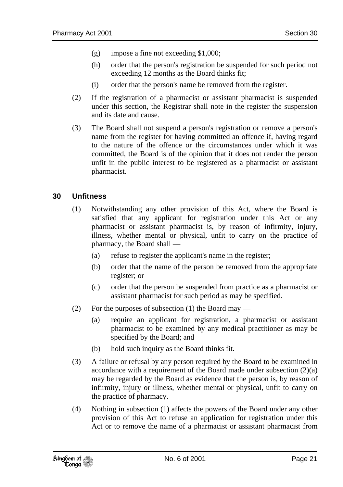- (g) impose a fine not exceeding \$1,000;
- (h) order that the person's registration be suspended for such period not exceeding 12 months as the Board thinks fit;
- (i) order that the person's name be removed from the register.
- (2) If the registration of a pharmacist or assistant pharmacist is suspended under this section, the Registrar shall note in the register the suspension and its date and cause.
- (3) The Board shall not suspend a person's registration or remove a person's name from the register for having committed an offence if, having regard to the nature of the offence or the circumstances under which it was committed, the Board is of the opinion that it does not render the person unfit in the public interest to be registered as a pharmacist or assistant pharmacist.

#### **30 Unfitness**

- (1) Notwithstanding any other provision of this Act, where the Board is satisfied that any applicant for registration under this Act or any pharmacist or assistant pharmacist is, by reason of infirmity, injury, illness, whether mental or physical, unfit to carry on the practice of pharmacy, the Board shall —
	- (a) refuse to register the applicant's name in the register;
	- (b) order that the name of the person be removed from the appropriate register; or
	- (c) order that the person be suspended from practice as a pharmacist or assistant pharmacist for such period as may be specified.
- (2) For the purposes of subsection (1) the Board may
	- (a) require an applicant for registration, a pharmacist or assistant pharmacist to be examined by any medical practitioner as may be specified by the Board; and
	- (b) hold such inquiry as the Board thinks fit.
- (3) A failure or refusal by any person required by the Board to be examined in accordance with a requirement of the Board made under subsection (2)(a) may be regarded by the Board as evidence that the person is, by reason of infirmity, injury or illness, whether mental or physical, unfit to carry on the practice of pharmacy.
- (4) Nothing in subsection (1) affects the powers of the Board under any other provision of this Act to refuse an application for registration under this Act or to remove the name of a pharmacist or assistant pharmacist from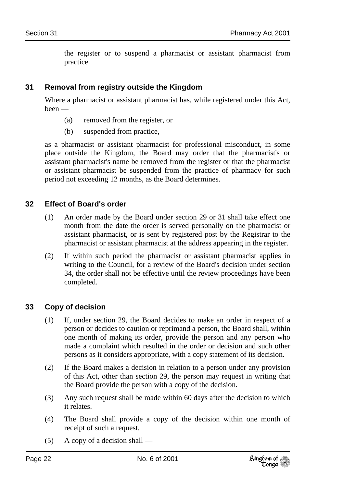the register or to suspend a pharmacist or assistant pharmacist from practice.

#### **31 Removal from registry outside the Kingdom**

Where a pharmacist or assistant pharmacist has, while registered under this Act, been —

- (a) removed from the register, or
- (b) suspended from practice,

as a pharmacist or assistant pharmacist for professional misconduct, in some place outside the Kingdom, the Board may order that the pharmacist's or assistant pharmacist's name be removed from the register or that the pharmacist or assistant pharmacist be suspended from the practice of pharmacy for such period not exceeding 12 months, as the Board determines.

#### **32 Effect of Board's order**

- (1) An order made by the Board under section 29 or 31 shall take effect one month from the date the order is served personally on the pharmacist or assistant pharmacist, or is sent by registered post by the Registrar to the pharmacist or assistant pharmacist at the address appearing in the register.
- (2) If within such period the pharmacist or assistant pharmacist applies in writing to the Council, for a review of the Board's decision under section 34, the order shall not be effective until the review proceedings have been completed.

#### **33 Copy of decision**

- (1) If, under section 29, the Board decides to make an order in respect of a person or decides to caution or reprimand a person, the Board shall, within one month of making its order, provide the person and any person who made a complaint which resulted in the order or decision and such other persons as it considers appropriate, with a copy statement of its decision.
- (2) If the Board makes a decision in relation to a person under any provision of this Act, other than section 29, the person may request in writing that the Board provide the person with a copy of the decision.
- (3) Any such request shall be made within 60 days after the decision to which it relates.
- (4) The Board shall provide a copy of the decision within one month of receipt of such a request.
- (5) A copy of a decision shall —

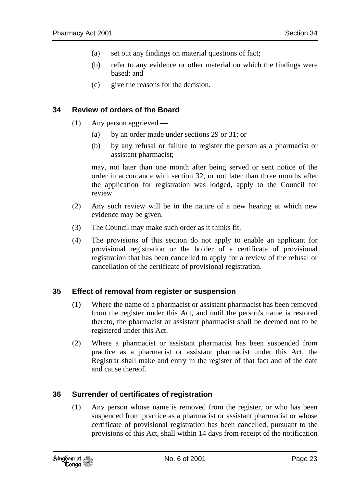- (a) set out any findings on material questions of fact;
- (b) refer to any evidence or other material on which the findings were based; and
- (c) give the reasons for the decision.

#### **34 Review of orders of the Board**

- (1) Any person aggrieved
	- (a) by an order made under sections 29 or 31; or
	- (b) by any refusal or failure to register the person as a pharmacist or assistant pharmacist;

may, not later than one month after being served or sent notice of the order in accordance with section 32, or not later than three months after the application for registration was lodged, apply to the Council for review.

- (2) Any such review will be in the nature of a new hearing at which new evidence may be given.
- (3) The Council may make such order as it thinks fit.
- (4) The provisions of this section do not apply to enable an applicant for provisional registration or the holder of a certificate of provisional registration that has been cancelled to apply for a review of the refusal or cancellation of the certificate of provisional registration.

#### **35 Effect of removal from register or suspension**

- (1) Where the name of a pharmacist or assistant pharmacist has been removed from the register under this Act, and until the person's name is restored thereto, the pharmacist or assistant pharmacist shall be deemed not to be registered under this Act.
- (2) Where a pharmacist or assistant pharmacist has been suspended from practice as a pharmacist or assistant pharmacist under this Act, the Registrar shall make and entry in the register of that fact and of the date and cause thereof.

#### **36 Surrender of certificates of registration**

(1) Any person whose name is removed from the register, or who has been suspended from practice as a pharmacist or assistant pharmacist or whose certificate of provisional registration has been cancelled, pursuant to the provisions of this Act, shall within 14 days from receipt of the notification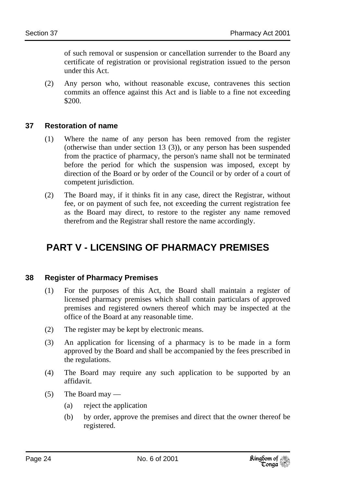of such removal or suspension or cancellation surrender to the Board any certificate of registration or provisional registration issued to the person under this Act.

(2) Any person who, without reasonable excuse, contravenes this section commits an offence against this Act and is liable to a fine not exceeding \$200.

#### **37 Restoration of name**

- (1) Where the name of any person has been removed from the register (otherwise than under section 13 (3)), or any person has been suspended from the practice of pharmacy, the person's name shall not be terminated before the period for which the suspension was imposed, except by direction of the Board or by order of the Council or by order of a court of competent jurisdiction.
- (2) The Board may, if it thinks fit in any case, direct the Registrar, without fee, or on payment of such fee, not exceeding the current registration fee as the Board may direct, to restore to the register any name removed therefrom and the Registrar shall restore the name accordingly.

# **PART V - LICENSING OF PHARMACY PREMISES**

#### **38 Register of Pharmacy Premises**

- (1) For the purposes of this Act, the Board shall maintain a register of licensed pharmacy premises which shall contain particulars of approved premises and registered owners thereof which may be inspected at the office of the Board at any reasonable time.
- (2) The register may be kept by electronic means.
- (3) An application for licensing of a pharmacy is to be made in a form approved by the Board and shall be accompanied by the fees prescribed in the regulations.
- (4) The Board may require any such application to be supported by an affidavit.
- (5) The Board may
	- (a) reject the application
	- (b) by order, approve the premises and direct that the owner thereof be registered.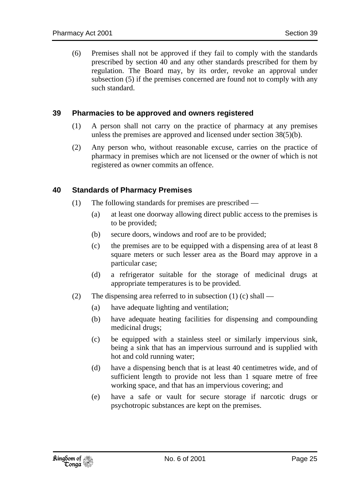(6) Premises shall not be approved if they fail to comply with the standards prescribed by section 40 and any other standards prescribed for them by regulation. The Board may, by its order, revoke an approval under subsection (5) if the premises concerned are found not to comply with any such standard.

#### **39 Pharmacies to be approved and owners registered**

- (1) A person shall not carry on the practice of pharmacy at any premises unless the premises are approved and licensed under section 38(5)(b).
- (2) Any person who, without reasonable excuse, carries on the practice of pharmacy in premises which are not licensed or the owner of which is not registered as owner commits an offence.

#### **40 Standards of Pharmacy Premises**

- (1) The following standards for premises are prescribed
	- (a) at least one doorway allowing direct public access to the premises is to be provided;
	- (b) secure doors, windows and roof are to be provided;
	- (c) the premises are to be equipped with a dispensing area of at least 8 square meters or such lesser area as the Board may approve in a particular case;
	- (d) a refrigerator suitable for the storage of medicinal drugs at appropriate temperatures is to be provided.
- (2) The dispensing area referred to in subsection  $(1)$  (c) shall
	- (a) have adequate lighting and ventilation;
	- (b) have adequate heating facilities for dispensing and compounding medicinal drugs;
	- (c) be equipped with a stainless steel or similarly impervious sink, being a sink that has an impervious surround and is supplied with hot and cold running water;
	- (d) have a dispensing bench that is at least 40 centimetres wide, and of sufficient length to provide not less than 1 square metre of free working space, and that has an impervious covering; and
	- (e) have a safe or vault for secure storage if narcotic drugs or psychotropic substances are kept on the premises.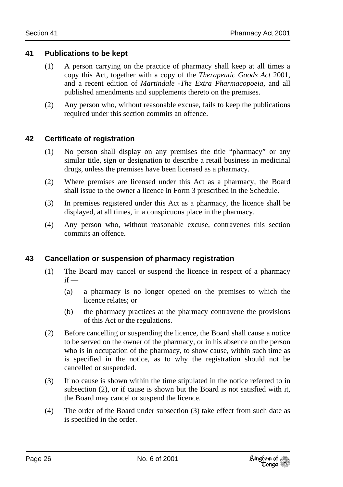#### **41 Publications to be kept**

- (1) A person carrying on the practice of pharmacy shall keep at all times a copy this Act, together with a copy of the *Therapeutic Goods Act* 2001, and a recent edition of *Martindale -The Extra Pharmacopoeia,* and all published amendments and supplements thereto on the premises.
- (2) Any person who, without reasonable excuse, fails to keep the publications required under this section commits an offence.

#### **42 Certificate of registration**

- (1) No person shall display on any premises the title "pharmacy" or any similar title, sign or designation to describe a retail business in medicinal drugs, unless the premises have been licensed as a pharmacy.
- (2) Where premises are licensed under this Act as a pharmacy, the Board shall issue to the owner a licence in Form 3 prescribed in the Schedule.
- (3) In premises registered under this Act as a pharmacy, the licence shall be displayed, at all times, in a conspicuous place in the pharmacy.
- (4) Any person who, without reasonable excuse, contravenes this section commits an offence.

#### **43 Cancellation or suspension of pharmacy registration**

- (1) The Board may cancel or suspend the licence in respect of a pharmacy  $if -$ 
	- (a) a pharmacy is no longer opened on the premises to which the licence relates; or
	- (b) the pharmacy practices at the pharmacy contravene the provisions of this Act or the regulations.
- (2) Before cancelling or suspending the licence, the Board shall cause a notice to be served on the owner of the pharmacy, or in his absence on the person who is in occupation of the pharmacy, to show cause, within such time as is specified in the notice, as to why the registration should not be cancelled or suspended.
- (3) If no cause is shown within the time stipulated in the notice referred to in subsection (2), or if cause is shown but the Board is not satisfied with it, the Board may cancel or suspend the licence.
- (4) The order of the Board under subsection (3) take effect from such date as is specified in the order.

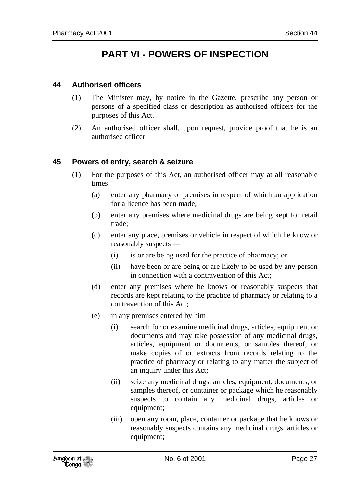### **PART VI - POWERS OF INSPECTION**

#### **44 Authorised officers**

- (1) The Minister may, by notice in the Gazette, prescribe any person or persons of a specified class or description as authorised officers for the purposes of this Act.
- (2) An authorised officer shall, upon request, provide proof that he is an authorised officer.

#### **45 Powers of entry, search & seizure**

- (1) For the purposes of this Act, an authorised officer may at all reasonable times —
	- (a) enter any pharmacy or premises in respect of which an application for a licence has been made;
	- (b) enter any premises where medicinal drugs are being kept for retail trade;
	- (c) enter any place, premises or vehicle in respect of which he know or reasonably suspects —
		- (i) is or are being used for the practice of pharmacy; or
		- (ii) have been or are being or are likely to be used by any person in connection with a contravention of this Act;
	- (d) enter any premises where he knows or reasonably suspects that records are kept relating to the practice of pharmacy or relating to a contravention of this Act;
	- (e) in any premises entered by him
		- (i) search for or examine medicinal drugs, articles, equipment or documents and may take possession of any medicinal drugs, articles, equipment or documents, or samples thereof, or make copies of or extracts from records relating to the practice of pharmacy or relating to any matter the subject of an inquiry under this Act;
		- (ii) seize any medicinal drugs, articles, equipment, documents, or samples thereof, or container or package which he reasonably suspects to contain any medicinal drugs, articles or equipment;
		- (iii) open any room, place, container or package that he knows or reasonably suspects contains any medicinal drugs, articles or equipment;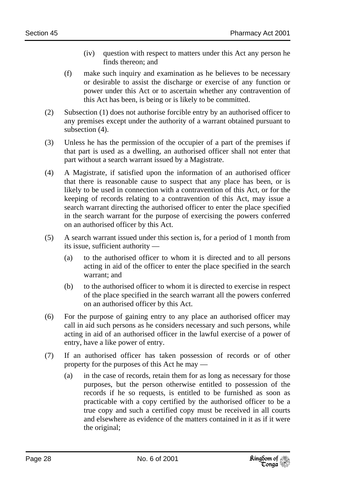- (iv) question with respect to matters under this Act any person he finds thereon; and
- (f) make such inquiry and examination as he believes to be necessary or desirable to assist the discharge or exercise of any function or power under this Act or to ascertain whether any contravention of this Act has been, is being or is likely to be committed.
- (2) Subsection (1) does not authorise forcible entry by an authorised officer to any premises except under the authority of a warrant obtained pursuant to subsection (4).
- (3) Unless he has the permission of the occupier of a part of the premises if that part is used as a dwelling, an authorised officer shall not enter that part without a search warrant issued by a Magistrate.
- (4) A Magistrate, if satisfied upon the information of an authorised officer that there is reasonable cause to suspect that any place has been, or is likely to be used in connection with a contravention of this Act, or for the keeping of records relating to a contravention of this Act, may issue a search warrant directing the authorised officer to enter the place specified in the search warrant for the purpose of exercising the powers conferred on an authorised officer by this Act.
- (5) A search warrant issued under this section is, for a period of 1 month from its issue, sufficient authority —
	- (a) to the authorised officer to whom it is directed and to all persons acting in aid of the officer to enter the place specified in the search warrant; and
	- (b) to the authorised officer to whom it is directed to exercise in respect of the place specified in the search warrant all the powers conferred on an authorised officer by this Act.
- (6) For the purpose of gaining entry to any place an authorised officer may call in aid such persons as he considers necessary and such persons, while acting in aid of an authorised officer in the lawful exercise of a power of entry, have a like power of entry.
- (7) If an authorised officer has taken possession of records or of other property for the purposes of this Act he may —
	- (a) in the case of records, retain them for as long as necessary for those purposes, but the person otherwise entitled to possession of the records if he so requests, is entitled to be furnished as soon as practicable with a copy certified by the authorised officer to be a true copy and such a certified copy must be received in all courts and elsewhere as evidence of the matters contained in it as if it were the original;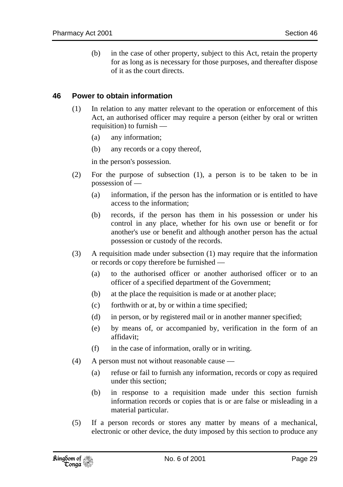(b) in the case of other property, subject to this Act, retain the property for as long as is necessary for those purposes, and thereafter dispose of it as the court directs.

#### **46 Power to obtain information**

- (1) In relation to any matter relevant to the operation or enforcement of this Act, an authorised officer may require a person (either by oral or written requisition) to furnish —
	- (a) any information;
	- (b) any records or a copy thereof,

in the person's possession.

- (2) For the purpose of subsection (1), a person is to be taken to be in possession of —
	- (a) information, if the person has the information or is entitled to have access to the information;
	- (b) records, if the person has them in his possession or under his control in any place, whether for his own use or benefit or for another's use or benefit and although another person has the actual possession or custody of the records.
- (3) A requisition made under subsection (1) may require that the information or records or copy therefore be furnished —
	- (a) to the authorised officer or another authorised officer or to an officer of a specified department of the Government;
	- (b) at the place the requisition is made or at another place;
	- (c) forthwith or at, by or within a time specified;
	- (d) in person, or by registered mail or in another manner specified;
	- (e) by means of, or accompanied by, verification in the form of an affidavit;
	- (f) in the case of information, orally or in writing.
- (4) A person must not without reasonable cause
	- (a) refuse or fail to furnish any information, records or copy as required under this section;
	- (b) in response to a requisition made under this section furnish information records or copies that is or are false or misleading in a material particular.
- (5) If a person records or stores any matter by means of a mechanical, electronic or other device, the duty imposed by this section to produce any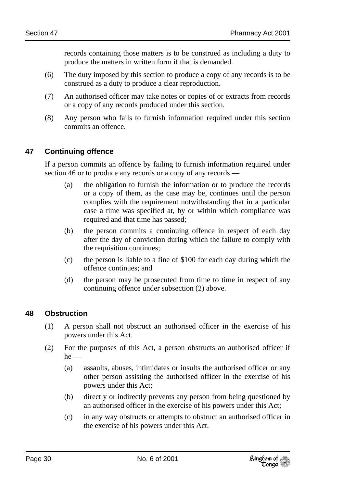records containing those matters is to be construed as including a duty to produce the matters in written form if that is demanded.

- (6) The duty imposed by this section to produce a copy of any records is to be construed as a duty to produce a clear reproduction.
- (7) An authorised officer may take notes or copies of or extracts from records or a copy of any records produced under this section.
- (8) Any person who fails to furnish information required under this section commits an offence.

#### **47 Continuing offence**

If a person commits an offence by failing to furnish information required under section 46 or to produce any records or a copy of any records —

- (a) the obligation to furnish the information or to produce the records or a copy of them, as the case may be, continues until the person complies with the requirement notwithstanding that in a particular case a time was specified at, by or within which compliance was required and that time has passed;
- (b) the person commits a continuing offence in respect of each day after the day of conviction during which the failure to comply with the requisition continues;
- (c) the person is liable to a fine of \$100 for each day during which the offence continues; and
- (d) the person may be prosecuted from time to time in respect of any continuing offence under subsection (2) above.

#### **48 Obstruction**

- (1) A person shall not obstruct an authorised officer in the exercise of his powers under this Act.
- (2) For the purposes of this Act, a person obstructs an authorised officer if  $he$  —
	- (a) assaults, abuses, intimidates or insults the authorised officer or any other person assisting the authorised officer in the exercise of his powers under this Act;
	- (b) directly or indirectly prevents any person from being questioned by an authorised officer in the exercise of his powers under this Act;
	- (c) in any way obstructs or attempts to obstruct an authorised officer in the exercise of his powers under this Act.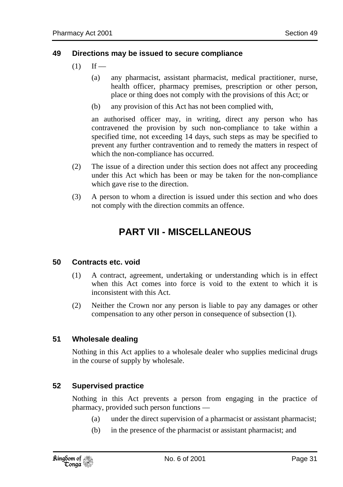#### **49 Directions may be issued to secure compliance**

- $(1)$  If
	- (a) any pharmacist, assistant pharmacist, medical practitioner, nurse, health officer, pharmacy premises, prescription or other person, place or thing does not comply with the provisions of this Act; or
	- (b) any provision of this Act has not been complied with,

an authorised officer may, in writing, direct any person who has contravened the provision by such non-compliance to take within a specified time, not exceeding 14 days, such steps as may be specified to prevent any further contravention and to remedy the matters in respect of which the non-compliance has occurred.

- (2) The issue of a direction under this section does not affect any proceeding under this Act which has been or may be taken for the non-compliance which gave rise to the direction.
- (3) A person to whom a direction is issued under this section and who does not comply with the direction commits an offence.

### **PART VII - MISCELLANEOUS**

#### **50 Contracts etc. void**

- (1) A contract, agreement, undertaking or understanding which is in effect when this Act comes into force is void to the extent to which it is inconsistent with this Act.
- (2) Neither the Crown nor any person is liable to pay any damages or other compensation to any other person in consequence of subsection (1).

#### **51 Wholesale dealing**

Nothing in this Act applies to a wholesale dealer who supplies medicinal drugs in the course of supply by wholesale.

#### **52 Supervised practice**

Nothing in this Act prevents a person from engaging in the practice of pharmacy, provided such person functions —

- (a) under the direct supervision of a pharmacist or assistant pharmacist;
- (b) in the presence of the pharmacist or assistant pharmacist; and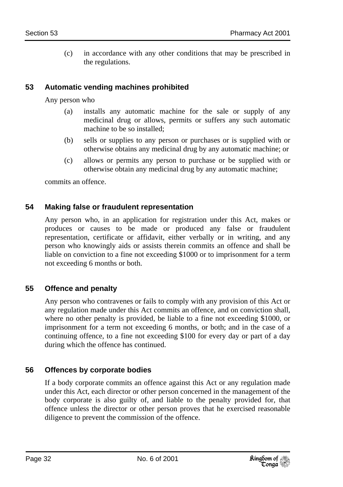(c) in accordance with any other conditions that may be prescribed in the regulations.

#### **53 Automatic vending machines prohibited**

Any person who

- (a) installs any automatic machine for the sale or supply of any medicinal drug or allows, permits or suffers any such automatic machine to be so installed;
- (b) sells or supplies to any person or purchases or is supplied with or otherwise obtains any medicinal drug by any automatic machine; or
- (c) allows or permits any person to purchase or be supplied with or otherwise obtain any medicinal drug by any automatic machine;

commits an offence.

#### **54 Making false or fraudulent representation**

Any person who, in an application for registration under this Act, makes or produces or causes to be made or produced any false or fraudulent representation, certificate or affidavit, either verbally or in writing, and any person who knowingly aids or assists therein commits an offence and shall be liable on conviction to a fine not exceeding \$1000 or to imprisonment for a term not exceeding 6 months or both.

#### **55 Offence and penalty**

Any person who contravenes or fails to comply with any provision of this Act or any regulation made under this Act commits an offence, and on conviction shall, where no other penalty is provided, be liable to a fine not exceeding \$1000, or imprisonment for a term not exceeding 6 months, or both; and in the case of a continuing offence, to a fine not exceeding \$100 for every day or part of a day during which the offence has continued.

#### **56 Offences by corporate bodies**

If a body corporate commits an offence against this Act or any regulation made under this Act, each director or other person concerned in the management of the body corporate is also guilty of, and liable to the penalty provided for, that offence unless the director or other person proves that he exercised reasonable diligence to prevent the commission of the offence.

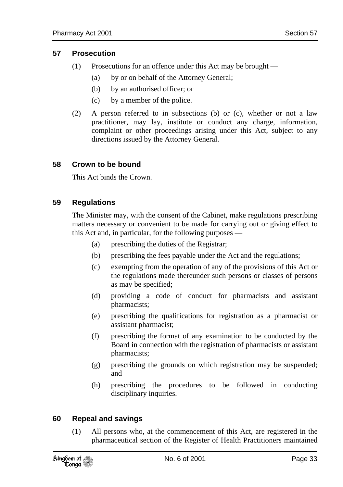#### **57 Prosecution**

- (1) Prosecutions for an offence under this Act may be brought
	- (a) by or on behalf of the Attorney General;
	- (b) by an authorised officer; or
	- (c) by a member of the police.
- (2) A person referred to in subsections (b) or (c), whether or not a law practitioner, may lay, institute or conduct any charge, information, complaint or other proceedings arising under this Act, subject to any directions issued by the Attorney General.

#### **58 Crown to be bound**

This Act binds the Crown.

#### **59 Regulations**

The Minister may, with the consent of the Cabinet, make regulations prescribing matters necessary or convenient to be made for carrying out or giving effect to this Act and, in particular, for the following purposes —

- (a) prescribing the duties of the Registrar;
- (b) prescribing the fees payable under the Act and the regulations;
- (c) exempting from the operation of any of the provisions of this Act or the regulations made thereunder such persons or classes of persons as may be specified;
- (d) providing a code of conduct for pharmacists and assistant pharmacists;
- (e) prescribing the qualifications for registration as a pharmacist or assistant pharmacist;
- (f) prescribing the format of any examination to be conducted by the Board in connection with the registration of pharmacists or assistant pharmacists;
- (g) prescribing the grounds on which registration may be suspended; and
- (h) prescribing the procedures to be followed in conducting disciplinary inquiries.

#### **60 Repeal and savings**

(1) All persons who, at the commencement of this Act, are registered in the pharmaceutical section of the Register of Health Practitioners maintained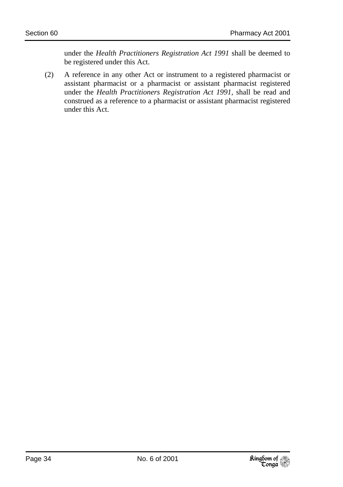under the *Health Practitioners Registration Act 1991* shall be deemed to be registered under this Act.

(2) A reference in any other Act or instrument to a registered pharmacist or assistant pharmacist or a pharmacist or assistant pharmacist registered under the *Health Practitioners Registration Act 1991,* shall be read and construed as a reference to a pharmacist or assistant pharmacist registered under this Act.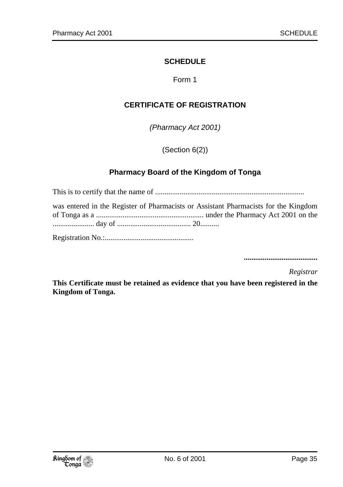#### **SCHEDULE**

Form 1

#### **CERTIFICATE OF REGISTRATION**

*(Pharmacy Act 2001)* 

(Section 6(2))

#### **Pharmacy Board of the Kingdom of Tonga**

This is to certify that the name of ............................................................................... was entered in the Register of Pharmacists or Assistant Pharmacists for the Kingdom of Tonga as a ......................................................... under the Pharmacy Act 2001 on the ...................... day of ....................................... 20.......... Registration No.:...............................................

**.......................................** 

*Registrar* 

**This Certificate must be retained as evidence that you have been registered in the Kingdom of Tonga.**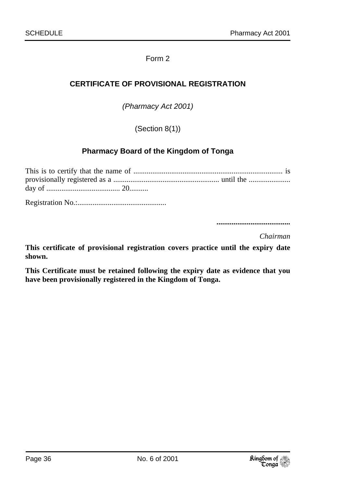#### Form 2

#### **CERTIFICATE OF PROVISIONAL REGISTRATION**

*(Pharmacy Act 2001)* 

(Section 8(1))

#### **Pharmacy Board of the Kingdom of Tonga**

Registration No.:...............................................

 **.......................................** 

*Chairman* 

**This certificate of provisional registration covers practice until the expiry date shown.** 

**This Certificate must be retained following the expiry date as evidence that you have been provisionally registered in the Kingdom of Tonga.**